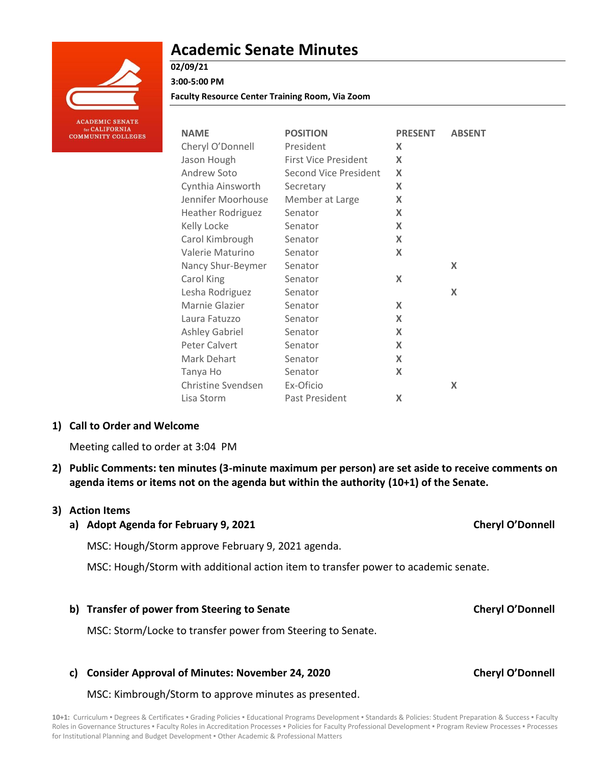

**ACADEMIC SENATE** or CALIFORNIA **COMMUNITY COLLEGES** 

# **Academic Senate Minutes**

**Faculty Resource Center Training Room, Via Zoom**

| <b>NAME</b>               | <b>POSITION</b>              | <b>PRESENT</b> | <b>ABSENT</b> |
|---------------------------|------------------------------|----------------|---------------|
| Cheryl O'Donnell          | President                    | X              |               |
| Jason Hough               | <b>First Vice President</b>  | X              |               |
| Andrew Soto               | <b>Second Vice President</b> | X              |               |
| Cynthia Ainsworth         | Secretary                    | X              |               |
| Jennifer Moorhouse        | Member at Large              | X              |               |
| <b>Heather Rodriguez</b>  | Senator                      | X              |               |
| Kelly Locke               | Senator                      | X              |               |
| Carol Kimbrough           | Senator                      | X              |               |
| Valerie Maturino          | Senator                      | X              |               |
| Nancy Shur-Beymer         | Senator                      |                | X             |
| Carol King                | Senator                      | X              |               |
| Lesha Rodriguez           | Senator                      |                | X             |
| Marnie Glazier            | Senator                      | X              |               |
| Laura Fatuzzo             | Senator                      | X              |               |
| <b>Ashley Gabriel</b>     | Senator                      | X              |               |
| Peter Calvert             | Senator                      | X              |               |
| Mark Dehart               | Senator                      | X              |               |
| Tanya Ho                  | Senator                      | X              |               |
| <b>Christine Svendsen</b> | Ex-Oficio                    |                | X             |
| Lisa Storm                | Past President               | X              |               |

## **1) Call to Order and Welcome**

Meeting called to order at 3:04 PM

**2) Public Comments: ten minutes (3-minute maximum per person) are set aside to receive comments on agenda items or items not on the agenda but within the authority (10+1) of the Senate.**

#### **3) Action Items**

# **a) Adopt Agenda for February 9, 2021 Cheryl O'Donnell**

MSC: Hough/Storm approve February 9, 2021 agenda.

MSC: Hough/Storm with additional action item to transfer power to academic senate.

#### **b) Transfer of power from Steering to Senate Cheryl O'Donnell**

MSC: Storm/Locke to transfer power from Steering to Senate.

### **c) Consider Approval of Minutes: November 24, 2020 Cheryl O'Donnell**

MSC: Kimbrough/Storm to approve minutes as presented.

10+1: Curriculum · Degrees & Certificates · Grading Policies · Educational Programs Development · Standards & Policies: Student Preparation & Success · Faculty Roles in Governance Structures . Faculty Roles in Accreditation Processes . Policies for Faculty Professional Development . Program Review Processes . Processes for Institutional Planning and Budget Development . Other Academic & Professional Matters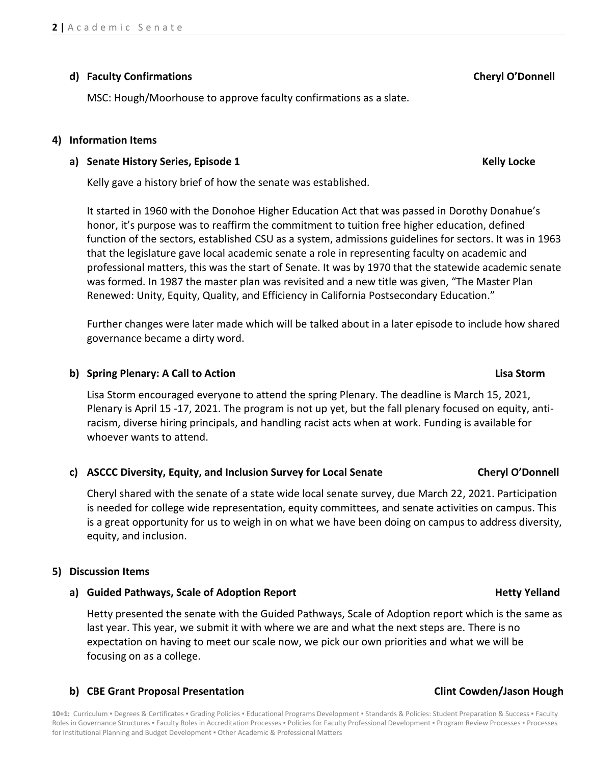# **d) Faculty Confirmations Cheryl O'Donnell**

MSC: Hough/Moorhouse to approve faculty confirmations as a slate.

## **4) Information Items**

# **a) Senate History Series, Episode 1 Kelly Locke**

Kelly gave a history brief of how the senate was established.

It started in 1960 with the Donohoe Higher Education Act that was passed in Dorothy Donahue's honor, it's purpose was to reaffirm the commitment to tuition free higher education, defined function of the sectors, established CSU as a system, admissions guidelines for sectors. It was in 1963 that the legislature gave local academic senate a role in representing faculty on academic and professional matters, this was the start of Senate. It was by 1970 that the statewide academic senate was formed. In 1987 the master plan was revisited and a new title was given, "The Master Plan Renewed: Unity, Equity, Quality, and Efficiency in California Postsecondary Education."

Further changes were later made which will be talked about in a later episode to include how shared governance became a dirty word.

# **b) Spring Plenary: A Call to Action Lisa Storm**

Lisa Storm encouraged everyone to attend the spring Plenary. The deadline is March 15, 2021, Plenary is April 15 -17, 2021. The program is not up yet, but the fall plenary focused on equity, antiracism, diverse hiring principals, and handling racist acts when at work. Funding is available for whoever wants to attend.

### **c) ASCCC Diversity, Equity, and Inclusion Survey for Local Senate Cheryl O'Donnell**

Cheryl shared with the senate of a state wide local senate survey, due March 22, 2021. Participation is needed for college wide representation, equity committees, and senate activities on campus. This is a great opportunity for us to weigh in on what we have been doing on campus to address diversity, equity, and inclusion.

### **5) Discussion Items**

### **a) Guided Pathways, Scale of Adoption Report Hetty Yelland**

Hetty presented the senate with the Guided Pathways, Scale of Adoption report which is the same as last year. This year, we submit it with where we are and what the next steps are. There is no expectation on having to meet our scale now, we pick our own priorities and what we will be focusing on as a college.

# **b) CBE Grant Proposal Presentation Clint Cowden/Jason Hough**

10+1: Curriculum · Degrees & Certificates · Grading Policies · Educational Programs Development · Standards & Policies: Student Preparation & Success · Faculty Roles in Governance Structures . Faculty Roles in Accreditation Processes . Policies for Faculty Professional Development . Program Review Processes . Processes for Institutional Planning and Budget Development ▪ Other Academic & Professional Matters